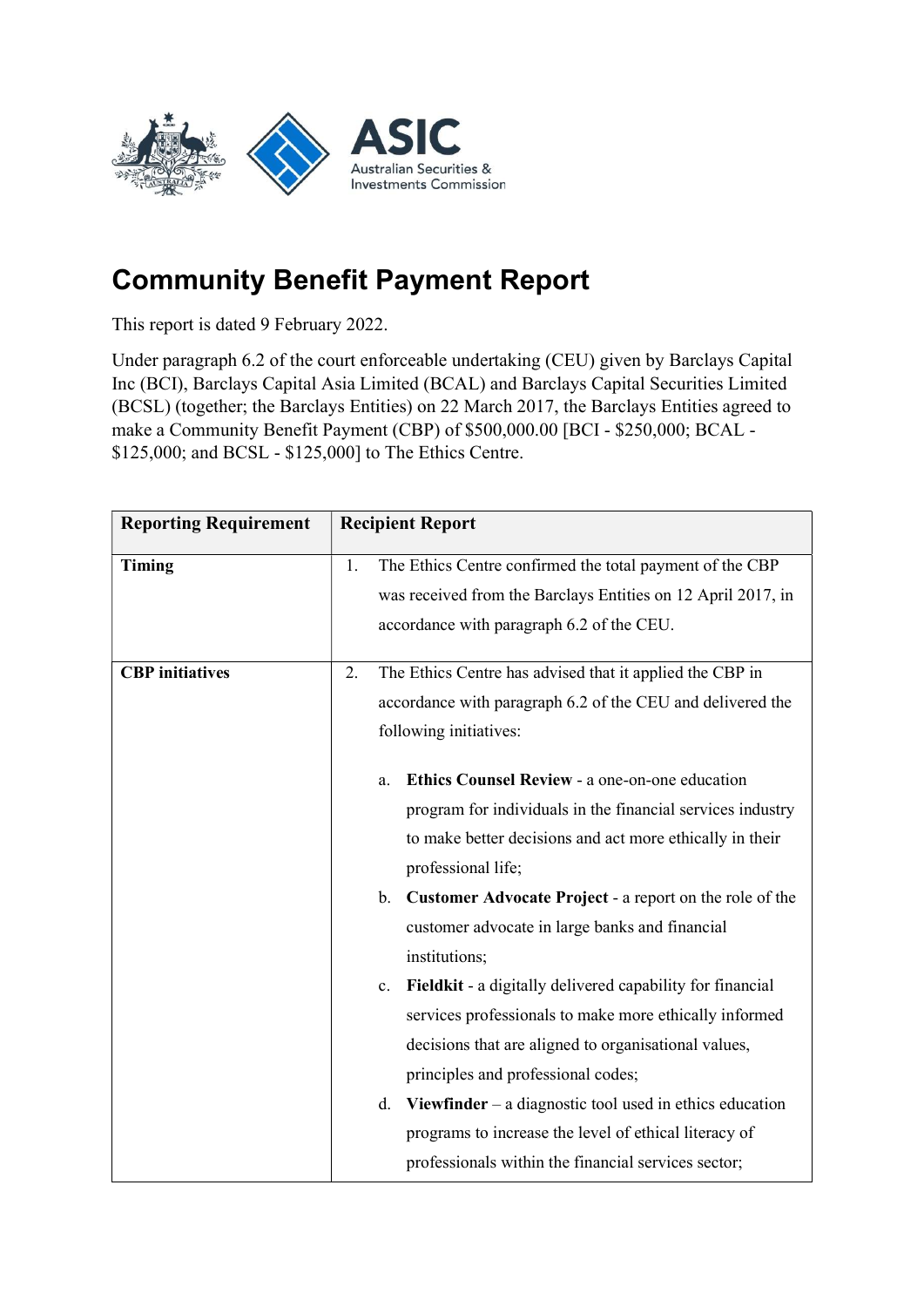

## Community Benefit Payment Report

This report is dated 9 February 2022.

Under paragraph 6.2 of the court enforceable undertaking (CEU) given by Barclays Capital Inc (BCI), Barclays Capital Asia Limited (BCAL) and Barclays Capital Securities Limited (BCSL) (together; the Barclays Entities) on 22 March 2017, the Barclays Entities agreed to make a Community Benefit Payment (CBP) of \$500,000.00 [BCI - \$250,000; BCAL - \$125,000; and BCSL - \$125,000] to The Ethics Centre.

| <b>Reporting Requirement</b> | <b>Recipient Report</b>                                                                                                                                                                                                          |
|------------------------------|----------------------------------------------------------------------------------------------------------------------------------------------------------------------------------------------------------------------------------|
| Timing                       | The Ethics Centre confirmed the total payment of the CBP<br>1.<br>was received from the Barclays Entities on 12 April 2017, in<br>accordance with paragraph 6.2 of the CEU.                                                      |
| <b>CBP</b> initiatives       | The Ethics Centre has advised that it applied the CBP in<br>2.<br>accordance with paragraph 6.2 of the CEU and delivered the<br>following initiatives:                                                                           |
|                              | Ethics Counsel Review - a one-on-one education<br>a.<br>program for individuals in the financial services industry<br>to make better decisions and act more ethically in their<br>professional life;                             |
|                              | b. Customer Advocate Project - a report on the role of the<br>customer advocate in large banks and financial<br>institutions;                                                                                                    |
|                              | Fieldkit - a digitally delivered capability for financial<br>$c_{\cdot}$<br>services professionals to make more ethically informed<br>decisions that are aligned to organisational values,<br>principles and professional codes; |
|                              | Viewfinder $-$ a diagnostic tool used in ethics education<br>d.<br>programs to increase the level of ethical literacy of<br>professionals within the financial services sector;                                                  |